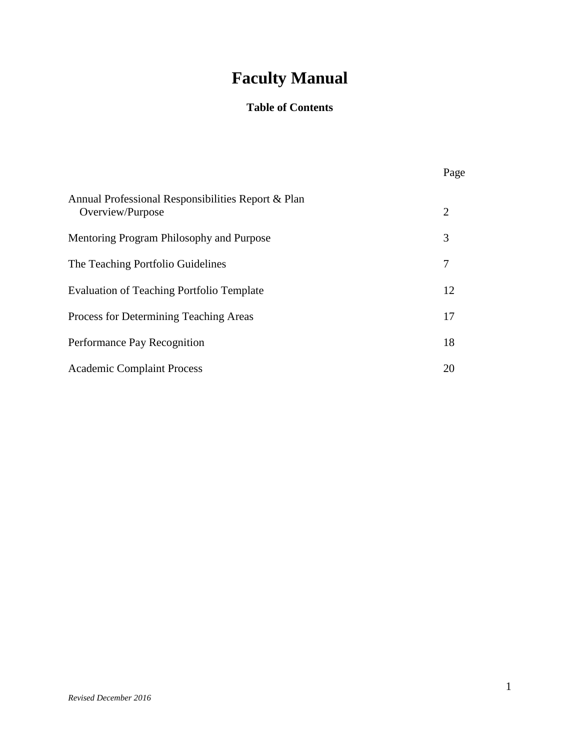# **Faculty Manual**

## **Table of Contents**

|                                                                        | Page |
|------------------------------------------------------------------------|------|
| Annual Professional Responsibilities Report & Plan<br>Overview/Purpose | 2    |
| Mentoring Program Philosophy and Purpose                               | 3    |
| The Teaching Portfolio Guidelines                                      | 7    |
| Evaluation of Teaching Portfolio Template                              | 12   |
| Process for Determining Teaching Areas                                 | 17   |
| Performance Pay Recognition                                            | 18   |
| <b>Academic Complaint Process</b>                                      | 20   |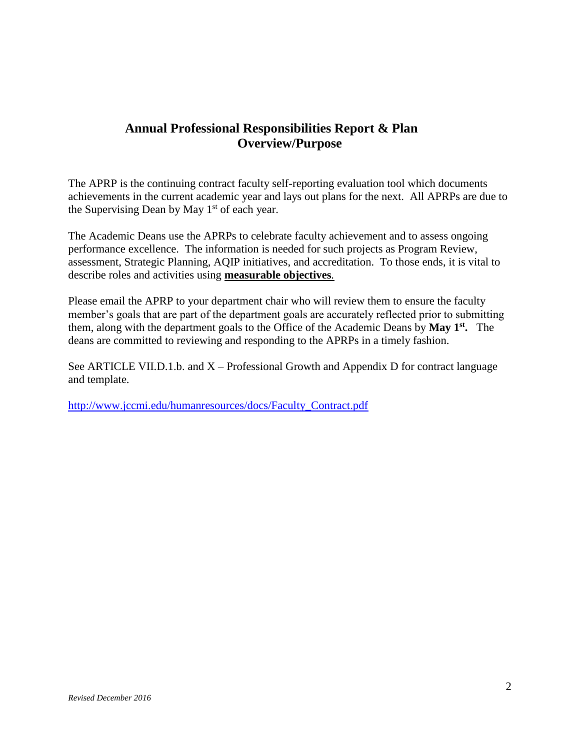## **Annual Professional Responsibilities Report & Plan Overview/Purpose**

The APRP is the continuing contract faculty self-reporting evaluation tool which documents achievements in the current academic year and lays out plans for the next. All APRPs are due to the Supervising Dean by May  $1<sup>st</sup>$  of each year.

The Academic Deans use the APRPs to celebrate faculty achievement and to assess ongoing performance excellence. The information is needed for such projects as Program Review, assessment, Strategic Planning, AQIP initiatives, and accreditation. To those ends, it is vital to describe roles and activities using **measurable objectives***.*

Please email the APRP to your department chair who will review them to ensure the faculty member's goals that are part of the department goals are accurately reflected prior to submitting them, along with the department goals to the Office of the Academic Deans by **May 1st .** The deans are committed to reviewing and responding to the APRPs in a timely fashion.

See ARTICLE VII.D.1.b. and  $X -$  Professional Growth and Appendix D for contract language and template.

[http://www.jccmi.edu/humanresources/docs/Faculty\\_Contract.pdf](http://www.jccmi.edu/humanresources/docs/Faculty_Contract.pdf)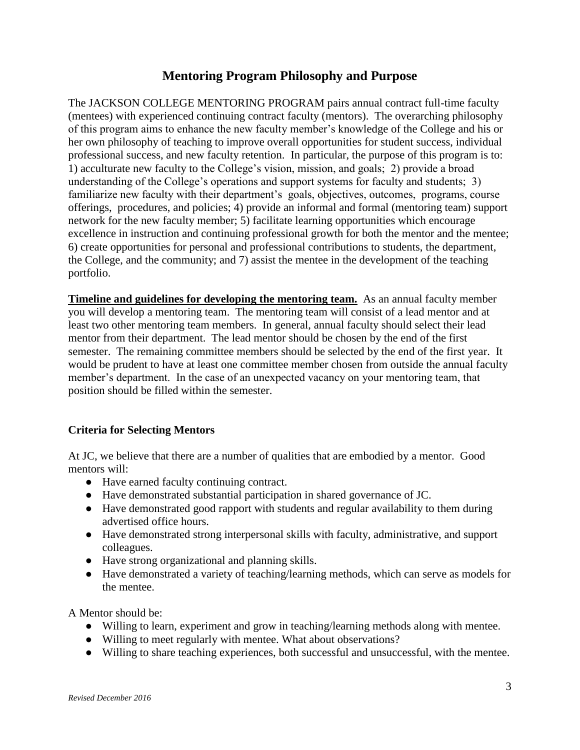## **Mentoring Program Philosophy and Purpose**

The JACKSON COLLEGE MENTORING PROGRAM pairs annual contract full-time faculty (mentees) with experienced continuing contract faculty (mentors). The overarching philosophy of this program aims to enhance the new faculty member's knowledge of the College and his or her own philosophy of teaching to improve overall opportunities for student success, individual professional success, and new faculty retention. In particular, the purpose of this program is to: 1) acculturate new faculty to the College's vision, mission, and goals; 2) provide a broad understanding of the College's operations and support systems for faculty and students; 3) familiarize new faculty with their department's goals, objectives, outcomes, programs, course offerings, procedures, and policies; 4) provide an informal and formal (mentoring team) support network for the new faculty member; 5) facilitate learning opportunities which encourage excellence in instruction and continuing professional growth for both the mentor and the mentee; 6) create opportunities for personal and professional contributions to students, the department, the College, and the community; and 7) assist the mentee in the development of the teaching portfolio.

**Timeline and guidelines for developing the mentoring team.** As an annual faculty member you will develop a mentoring team. The mentoring team will consist of a lead mentor and at least two other mentoring team members. In general, annual faculty should select their lead mentor from their department. The lead mentor should be chosen by the end of the first semester. The remaining committee members should be selected by the end of the first year. It would be prudent to have at least one committee member chosen from outside the annual faculty member's department. In the case of an unexpected vacancy on your mentoring team, that position should be filled within the semester.

### **Criteria for Selecting Mentors**

At JC, we believe that there are a number of qualities that are embodied by a mentor. Good mentors will:

- Have earned faculty continuing contract.
- Have demonstrated substantial participation in shared governance of JC.
- Have demonstrated good rapport with students and regular availability to them during advertised office hours.
- Have demonstrated strong interpersonal skills with faculty, administrative, and support colleagues.
- Have strong organizational and planning skills.
- Have demonstrated a variety of teaching/learning methods, which can serve as models for the mentee.

A Mentor should be:

- Willing to learn, experiment and grow in teaching/learning methods along with mentee.
- Willing to meet regularly with mentee. What about observations?
- Willing to share teaching experiences, both successful and unsuccessful, with the mentee.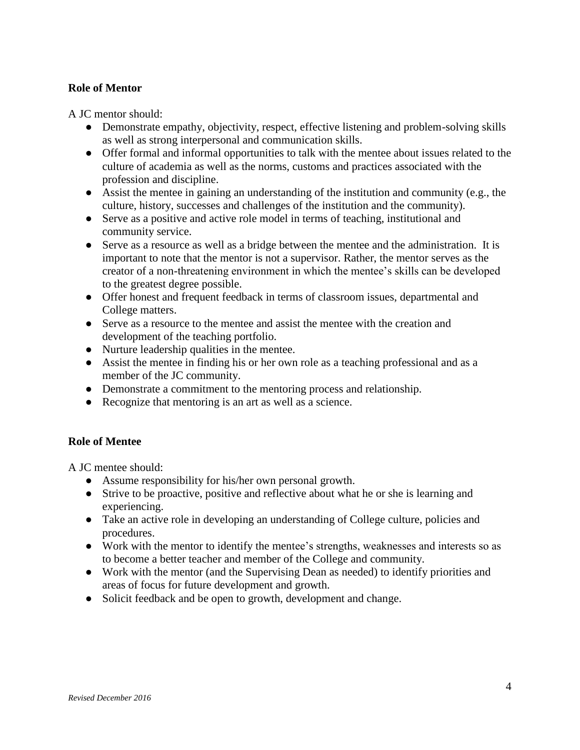#### **Role of Mentor**

A JC mentor should:

- Demonstrate empathy, objectivity, respect, effective listening and problem-solving skills as well as strong interpersonal and communication skills.
- Offer formal and informal opportunities to talk with the mentee about issues related to the culture of academia as well as the norms, customs and practices associated with the profession and discipline.
- Assist the mentee in gaining an understanding of the institution and community (e.g., the culture, history, successes and challenges of the institution and the community).
- Serve as a positive and active role model in terms of teaching, institutional and community service.
- Serve as a resource as well as a bridge between the mentee and the administration. It is important to note that the mentor is not a supervisor. Rather, the mentor serves as the creator of a non-threatening environment in which the mentee's skills can be developed to the greatest degree possible.
- Offer honest and frequent feedback in terms of classroom issues, departmental and College matters.
- Serve as a resource to the mentee and assist the mentee with the creation and development of the teaching portfolio.
- Nurture leadership qualities in the mentee.
- Assist the mentee in finding his or her own role as a teaching professional and as a member of the JC community.
- Demonstrate a commitment to the mentoring process and relationship.
- Recognize that mentoring is an art as well as a science.

### **Role of Mentee**

A JC mentee should:

- Assume responsibility for his/her own personal growth.
- Strive to be proactive, positive and reflective about what he or she is learning and experiencing.
- Take an active role in developing an understanding of College culture, policies and procedures.
- Work with the mentor to identify the mentee's strengths, weaknesses and interests so as to become a better teacher and member of the College and community.
- Work with the mentor (and the Supervising Dean as needed) to identify priorities and areas of focus for future development and growth.
- Solicit feedback and be open to growth, development and change.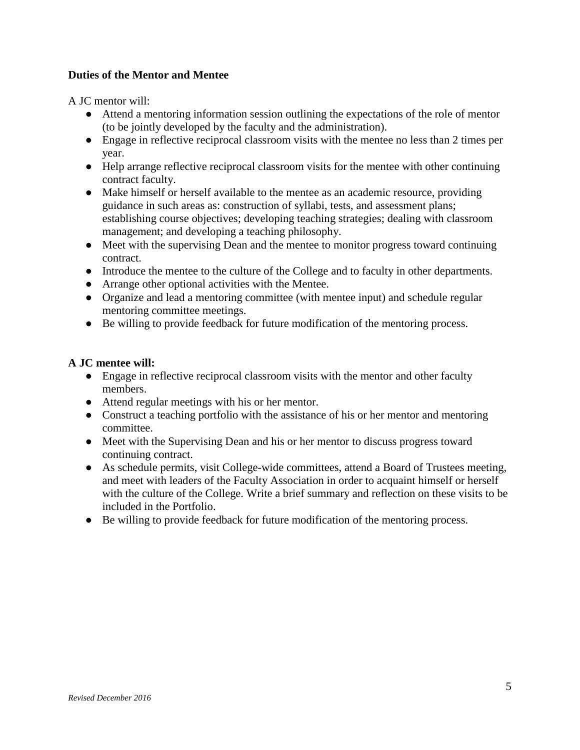### **Duties of the Mentor and Mentee**

A JC mentor will:

- Attend a mentoring information session outlining the expectations of the role of mentor (to be jointly developed by the faculty and the administration).
- Engage in reflective reciprocal classroom visits with the mentee no less than 2 times per year.
- Help arrange reflective reciprocal classroom visits for the mentee with other continuing contract faculty.
- Make himself or herself available to the mentee as an academic resource, providing guidance in such areas as: construction of syllabi, tests, and assessment plans; establishing course objectives; developing teaching strategies; dealing with classroom management; and developing a teaching philosophy.
- Meet with the supervising Dean and the mentee to monitor progress toward continuing contract.
- Introduce the mentee to the culture of the College and to faculty in other departments.
- Arrange other optional activities with the Mentee.
- Organize and lead a mentoring committee (with mentee input) and schedule regular mentoring committee meetings.
- Be willing to provide feedback for future modification of the mentoring process.

#### **A JC mentee will:**

- Engage in reflective reciprocal classroom visits with the mentor and other faculty members.
- Attend regular meetings with his or her mentor.
- Construct a teaching portfolio with the assistance of his or her mentor and mentoring committee.
- Meet with the Supervising Dean and his or her mentor to discuss progress toward continuing contract.
- As schedule permits, visit College-wide committees, attend a Board of Trustees meeting, and meet with leaders of the Faculty Association in order to acquaint himself or herself with the culture of the College. Write a brief summary and reflection on these visits to be included in the Portfolio.
- Be willing to provide feedback for future modification of the mentoring process.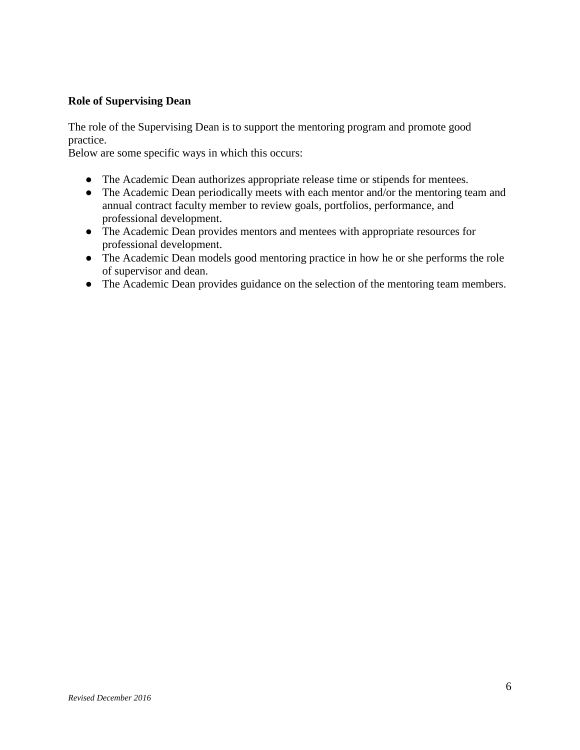#### **Role of Supervising Dean**

The role of the Supervising Dean is to support the mentoring program and promote good practice.

Below are some specific ways in which this occurs:

- The Academic Dean authorizes appropriate release time or stipends for mentees.
- The Academic Dean periodically meets with each mentor and/or the mentoring team and annual contract faculty member to review goals, portfolios, performance, and professional development.
- The Academic Dean provides mentors and mentees with appropriate resources for professional development.
- The Academic Dean models good mentoring practice in how he or she performs the role of supervisor and dean.
- The Academic Dean provides guidance on the selection of the mentoring team members.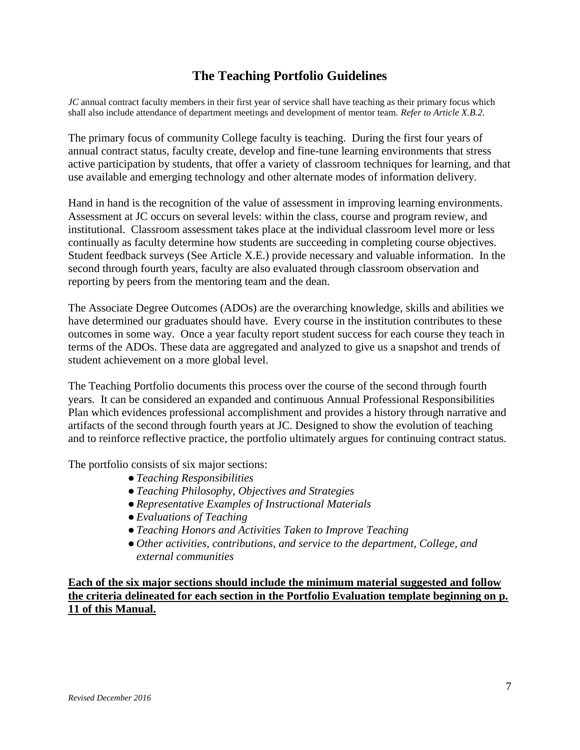## **The Teaching Portfolio Guidelines**

*JC* annual contract faculty members in their first year of service shall have teaching as their primary focus which shall also include attendance of department meetings and development of mentor team. *Refer to Article X.B.2.* 

The primary focus of community College faculty is teaching. During the first four years of annual contract status, faculty create, develop and fine-tune learning environments that stress active participation by students, that offer a variety of classroom techniques for learning, and that use available and emerging technology and other alternate modes of information delivery.

Hand in hand is the recognition of the value of assessment in improving learning environments. Assessment at JC occurs on several levels: within the class, course and program review, and institutional. Classroom assessment takes place at the individual classroom level more or less continually as faculty determine how students are succeeding in completing course objectives. Student feedback surveys (See Article X.E.) provide necessary and valuable information. In the second through fourth years, faculty are also evaluated through classroom observation and reporting by peers from the mentoring team and the dean.

The Associate Degree Outcomes (ADOs) are the overarching knowledge, skills and abilities we have determined our graduates should have. Every course in the institution contributes to these outcomes in some way. Once a year faculty report student success for each course they teach in terms of the ADOs. These data are aggregated and analyzed to give us a snapshot and trends of student achievement on a more global level.

The Teaching Portfolio documents this process over the course of the second through fourth years. It can be considered an expanded and continuous Annual Professional Responsibilities Plan which evidences professional accomplishment and provides a history through narrative and artifacts of the second through fourth years at JC. Designed to show the evolution of teaching and to reinforce reflective practice, the portfolio ultimately argues for continuing contract status.

The portfolio consists of six major sections:

- ●*Teaching Responsibilities*
- ●*Teaching Philosophy, Objectives and Strategies*
- ●*Representative Examples of Instructional Materials*
- ●*Evaluations of Teaching*
- ●*Teaching Honors and Activities Taken to Improve Teaching*
- *Other activities, contributions, and service to the department, College, and external communities*

**Each of the six major sections should include the minimum material suggested and follow the criteria delineated for each section in the Portfolio Evaluation template beginning on p. 11 of this Manual.**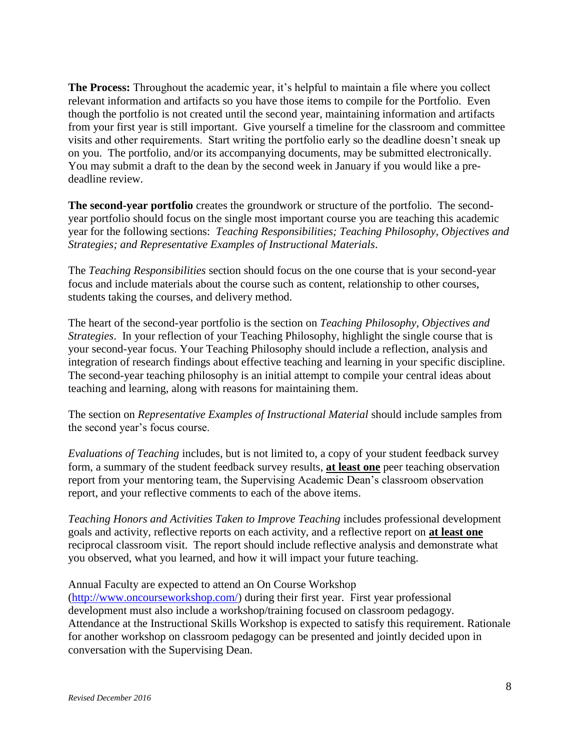**The Process:** Throughout the academic year, it's helpful to maintain a file where you collect relevant information and artifacts so you have those items to compile for the Portfolio. Even though the portfolio is not created until the second year, maintaining information and artifacts from your first year is still important. Give yourself a timeline for the classroom and committee visits and other requirements. Start writing the portfolio early so the deadline doesn't sneak up on you. The portfolio, and/or its accompanying documents, may be submitted electronically. You may submit a draft to the dean by the second week in January if you would like a predeadline review.

**The second-year portfolio** creates the groundwork or structure of the portfolio. The secondyear portfolio should focus on the single most important course you are teaching this academic year for the following sections: *Teaching Responsibilities; Teaching Philosophy, Objectives and Strategies; and Representative Examples of Instructional Materials*.

The *Teaching Responsibilities* section should focus on the one course that is your second-year focus and include materials about the course such as content, relationship to other courses, students taking the courses, and delivery method.

The heart of the second-year portfolio is the section on *Teaching Philosophy, Objectives and Strategies*. In your reflection of your Teaching Philosophy, highlight the single course that is your second-year focus. Your Teaching Philosophy should include a reflection, analysis and integration of research findings about effective teaching and learning in your specific discipline. The second-year teaching philosophy is an initial attempt to compile your central ideas about teaching and learning, along with reasons for maintaining them.

The section on *Representative Examples of Instructional Material* should include samples from the second year's focus course.

*Evaluations of Teaching* includes, but is not limited to, a copy of your student feedback survey form, a summary of the student feedback survey results, **at least one** peer teaching observation report from your mentoring team, the Supervising Academic Dean's classroom observation report, and your reflective comments to each of the above items.

*Teaching Honors and Activities Taken to Improve Teaching* includes professional development goals and activity, reflective reports on each activity, and a reflective report on **at least one** reciprocal classroom visit. The report should include reflective analysis and demonstrate what you observed, what you learned, and how it will impact your future teaching.

Annual Faculty are expected to attend an On Course Workshop

[\(http://www.oncourseworkshop.com/\)](http://during/) during their first year. First year professional development must also include a workshop/training focused on classroom pedagogy. Attendance at the Instructional Skills Workshop is expected to satisfy this requirement. Rationale for another workshop on classroom pedagogy can be presented and jointly decided upon in conversation with the Supervising Dean.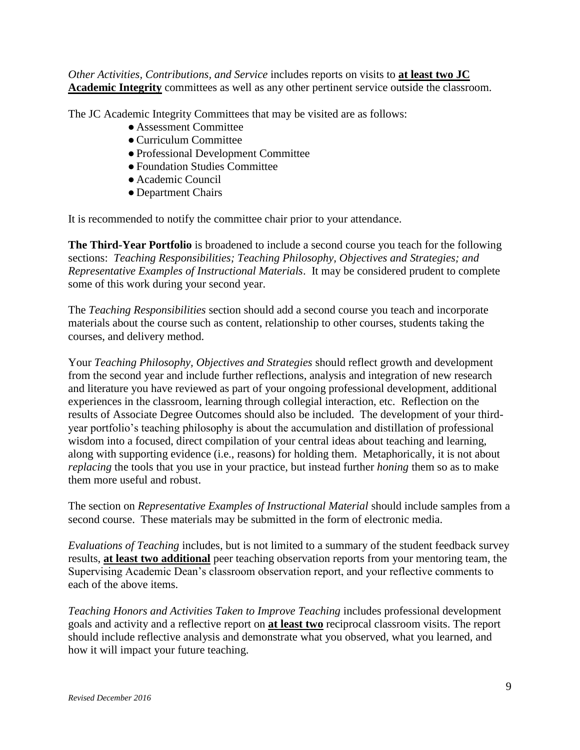*Other Activities, Contributions, and Service* includes reports on visits to **at least two JC Academic Integrity** committees as well as any other pertinent service outside the classroom.

The JC Academic Integrity Committees that may be visited are as follows:

- Assessment Committee
- ●Curriculum Committee
- ●Professional Development Committee
- ●Foundation Studies Committee
- Academic Council
- Department Chairs

It is recommended to notify the committee chair prior to your attendance.

**The Third-Year Portfolio** is broadened to include a second course you teach for the following sections: *Teaching Responsibilities; Teaching Philosophy, Objectives and Strategies; and Representative Examples of Instructional Materials*. It may be considered prudent to complete some of this work during your second year.

The *Teaching Responsibilities* section should add a second course you teach and incorporate materials about the course such as content, relationship to other courses, students taking the courses, and delivery method.

Your *Teaching Philosophy, Objectives and Strategies* should reflect growth and development from the second year and include further reflections, analysis and integration of new research and literature you have reviewed as part of your ongoing professional development, additional experiences in the classroom, learning through collegial interaction, etc. Reflection on the results of Associate Degree Outcomes should also be included. The development of your thirdyear portfolio's teaching philosophy is about the accumulation and distillation of professional wisdom into a focused, direct compilation of your central ideas about teaching and learning, along with supporting evidence (i.e., reasons) for holding them. Metaphorically, it is not about *replacing* the tools that you use in your practice, but instead further *honing* them so as to make them more useful and robust.

The section on *Representative Examples of Instructional Material* should include samples from a second course. These materials may be submitted in the form of electronic media.

*Evaluations of Teaching* includes, but is not limited to a summary of the student feedback survey results, **at least two additional** peer teaching observation reports from your mentoring team, the Supervising Academic Dean's classroom observation report, and your reflective comments to each of the above items.

*Teaching Honors and Activities Taken to Improve Teaching* includes professional development goals and activity and a reflective report on **at least two** reciprocal classroom visits. The report should include reflective analysis and demonstrate what you observed, what you learned, and how it will impact your future teaching.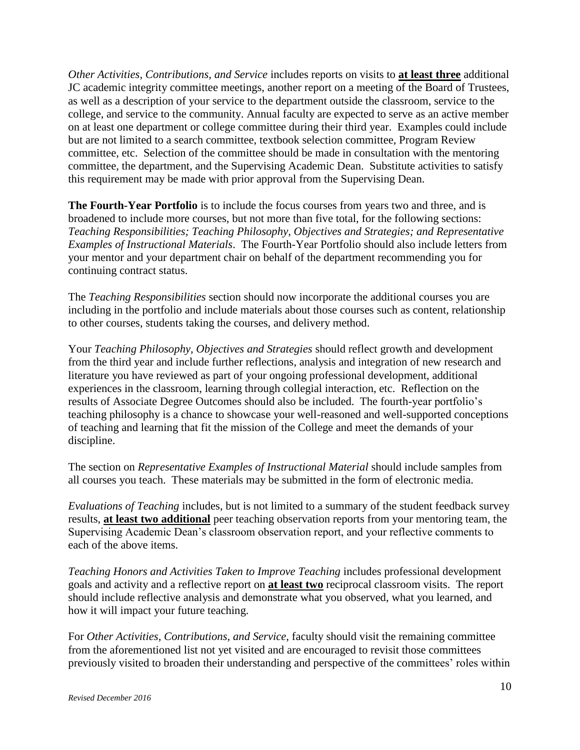*Other Activities, Contributions, and Service* includes reports on visits to **at least three** additional JC academic integrity committee meetings, another report on a meeting of the Board of Trustees, as well as a description of your service to the department outside the classroom, service to the college, and service to the community. Annual faculty are expected to serve as an active member on at least one department or college committee during their third year. Examples could include but are not limited to a search committee, textbook selection committee, Program Review committee, etc. Selection of the committee should be made in consultation with the mentoring committee, the department, and the Supervising Academic Dean. Substitute activities to satisfy this requirement may be made with prior approval from the Supervising Dean.

**The Fourth-Year Portfolio** is to include the focus courses from years two and three, and is broadened to include more courses, but not more than five total, for the following sections: *Teaching Responsibilities; Teaching Philosophy, Objectives and Strategies; and Representative Examples of Instructional Materials*. The Fourth-Year Portfolio should also include letters from your mentor and your department chair on behalf of the department recommending you for continuing contract status.

The *Teaching Responsibilities* section should now incorporate the additional courses you are including in the portfolio and include materials about those courses such as content, relationship to other courses, students taking the courses, and delivery method.

Your *Teaching Philosophy, Objectives and Strategies* should reflect growth and development from the third year and include further reflections, analysis and integration of new research and literature you have reviewed as part of your ongoing professional development, additional experiences in the classroom, learning through collegial interaction, etc. Reflection on the results of Associate Degree Outcomes should also be included. The fourth-year portfolio's teaching philosophy is a chance to showcase your well-reasoned and well-supported conceptions of teaching and learning that fit the mission of the College and meet the demands of your discipline.

The section on *Representative Examples of Instructional Material* should include samples from all courses you teach. These materials may be submitted in the form of electronic media.

*Evaluations of Teaching* includes, but is not limited to a summary of the student feedback survey results, **at least two additional** peer teaching observation reports from your mentoring team, the Supervising Academic Dean's classroom observation report, and your reflective comments to each of the above items.

*Teaching Honors and Activities Taken to Improve Teaching* includes professional development goals and activity and a reflective report on **at least two** reciprocal classroom visits. The report should include reflective analysis and demonstrate what you observed, what you learned, and how it will impact your future teaching.

For *Other Activities, Contributions, and Service,* faculty should visit the remaining committee from the aforementioned list not yet visited and are encouraged to revisit those committees previously visited to broaden their understanding and perspective of the committees' roles within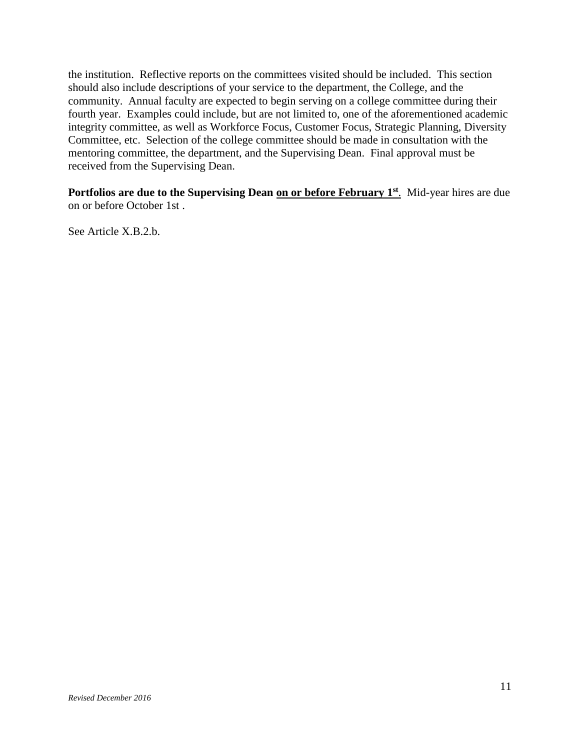the institution. Reflective reports on the committees visited should be included. This section should also include descriptions of your service to the department, the College, and the community. Annual faculty are expected to begin serving on a college committee during their fourth year. Examples could include, but are not limited to, one of the aforementioned academic integrity committee, as well as Workforce Focus, Customer Focus, Strategic Planning, Diversity Committee, etc. Selection of the college committee should be made in consultation with the mentoring committee, the department, and the Supervising Dean. Final approval must be received from the Supervising Dean.

Portfolios are due to the Supervising Dean on or before February 1<sup>st</sup>. Mid-year hires are due on or before October 1st .

See Article X.B.2.b.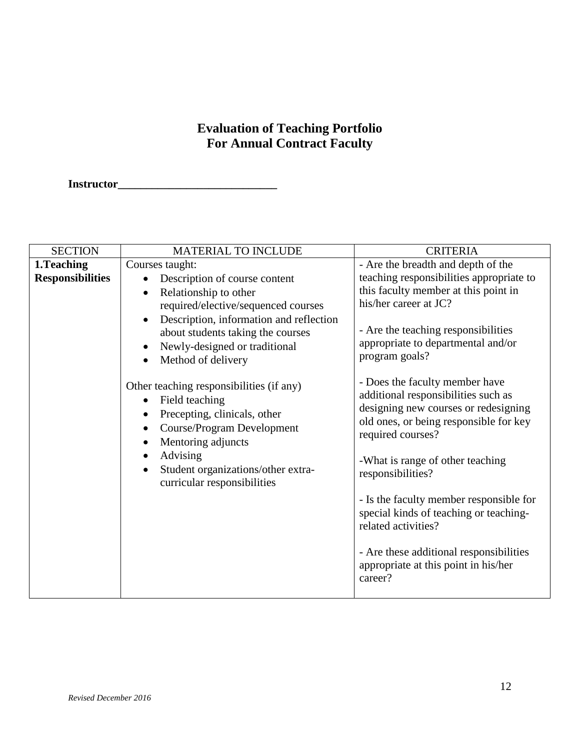# **Evaluation of Teaching Portfolio For Annual Contract Faculty**

**Instructor\_\_\_\_\_\_\_\_\_\_\_\_\_\_\_\_\_\_\_\_\_\_\_\_\_\_\_\_\_\_\_\_\_** 

| <b>SECTION</b>                         | MATERIAL TO INCLUDE                                                                                                                                                        | <b>CRITERIA</b>                                                                                                                                                                                                  |
|----------------------------------------|----------------------------------------------------------------------------------------------------------------------------------------------------------------------------|------------------------------------------------------------------------------------------------------------------------------------------------------------------------------------------------------------------|
| 1. Teaching<br><b>Responsibilities</b> | Courses taught:<br>Description of course content<br>Relationship to other                                                                                                  | - Are the breadth and depth of the<br>teaching responsibilities appropriate to<br>this faculty member at this point in<br>his/her career at JC?                                                                  |
|                                        | required/elective/sequenced courses<br>Description, information and reflection<br>about students taking the courses<br>Newly-designed or traditional<br>Method of delivery | - Are the teaching responsibilities<br>appropriate to departmental and/or<br>program goals?                                                                                                                      |
|                                        | Other teaching responsibilities (if any)<br>Field teaching<br>Precepting, clinicals, other<br><b>Course/Program Development</b><br>Mentoring adjuncts<br>Advising          | - Does the faculty member have<br>additional responsibilities such as<br>designing new courses or redesigning<br>old ones, or being responsible for key<br>required courses?<br>-What is range of other teaching |
|                                        | Student organizations/other extra-<br>curricular responsibilities                                                                                                          | responsibilities?<br>- Is the faculty member responsible for<br>special kinds of teaching or teaching-<br>related activities?                                                                                    |
|                                        |                                                                                                                                                                            | - Are these additional responsibilities<br>appropriate at this point in his/her<br>career?                                                                                                                       |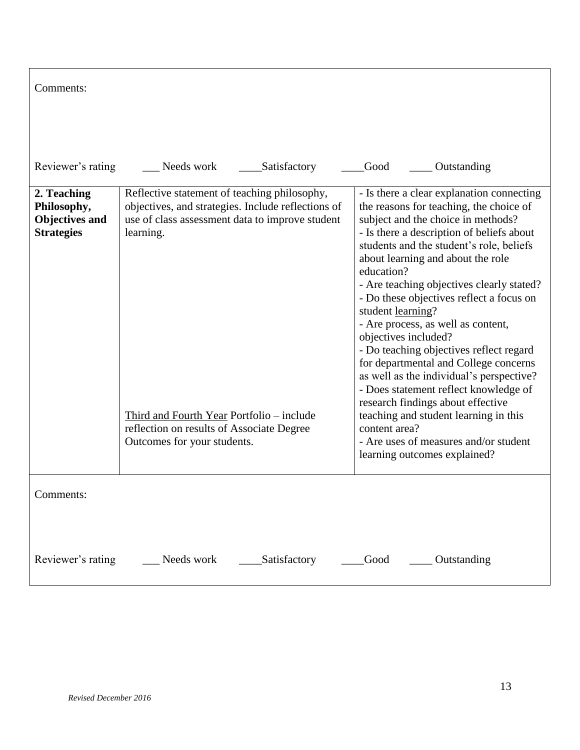| Comments:                                                                |                                                                                                                                                                                                                                                              |                                                                                                                                                                                                                                                                                                                                                                                                                                                                                                                                                                                                                                                                                                                            |
|--------------------------------------------------------------------------|--------------------------------------------------------------------------------------------------------------------------------------------------------------------------------------------------------------------------------------------------------------|----------------------------------------------------------------------------------------------------------------------------------------------------------------------------------------------------------------------------------------------------------------------------------------------------------------------------------------------------------------------------------------------------------------------------------------------------------------------------------------------------------------------------------------------------------------------------------------------------------------------------------------------------------------------------------------------------------------------------|
| Reviewer's rating                                                        | Needs work<br>Satisfactory                                                                                                                                                                                                                                   | Good<br>Outstanding                                                                                                                                                                                                                                                                                                                                                                                                                                                                                                                                                                                                                                                                                                        |
| 2. Teaching<br>Philosophy,<br><b>Objectives and</b><br><b>Strategies</b> | Reflective statement of teaching philosophy,<br>objectives, and strategies. Include reflections of<br>use of class assessment data to improve student<br>learning.<br>Third and Fourth Year Portfolio – include<br>reflection on results of Associate Degree | - Is there a clear explanation connecting<br>the reasons for teaching, the choice of<br>subject and the choice in methods?<br>- Is there a description of beliefs about<br>students and the student's role, beliefs<br>about learning and about the role<br>education?<br>- Are teaching objectives clearly stated?<br>- Do these objectives reflect a focus on<br>student learning?<br>- Are process, as well as content,<br>objectives included?<br>- Do teaching objectives reflect regard<br>for departmental and College concerns<br>as well as the individual's perspective?<br>- Does statement reflect knowledge of<br>research findings about effective<br>teaching and student learning in this<br>content area? |
|                                                                          | Outcomes for your students.                                                                                                                                                                                                                                  | - Are uses of measures and/or student<br>learning outcomes explained?                                                                                                                                                                                                                                                                                                                                                                                                                                                                                                                                                                                                                                                      |
| Comments:                                                                |                                                                                                                                                                                                                                                              |                                                                                                                                                                                                                                                                                                                                                                                                                                                                                                                                                                                                                                                                                                                            |
| Reviewer's rating                                                        | __ Needs work<br>Satisfactory                                                                                                                                                                                                                                | Good<br>____ Outstanding                                                                                                                                                                                                                                                                                                                                                                                                                                                                                                                                                                                                                                                                                                   |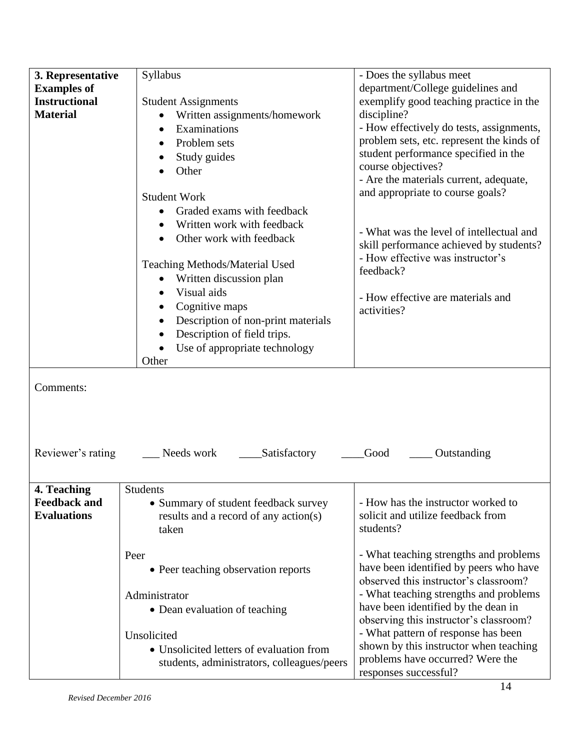| 3. Representative                         | Syllabus                                                                      | - Does the syllabus meet                                                |
|-------------------------------------------|-------------------------------------------------------------------------------|-------------------------------------------------------------------------|
| <b>Examples of</b>                        |                                                                               | department/College guidelines and                                       |
| <b>Instructional</b>                      | <b>Student Assignments</b>                                                    | exemplify good teaching practice in the                                 |
| <b>Material</b>                           | Written assignments/homework                                                  | discipline?                                                             |
|                                           | Examinations                                                                  | - How effectively do tests, assignments,                                |
|                                           | Problem sets<br>$\bullet$                                                     | problem sets, etc. represent the kinds of                               |
|                                           | Study guides                                                                  | student performance specified in the                                    |
|                                           | Other                                                                         | course objectives?                                                      |
|                                           |                                                                               | - Are the materials current, adequate,                                  |
|                                           | <b>Student Work</b>                                                           | and appropriate to course goals?                                        |
|                                           | Graded exams with feedback                                                    |                                                                         |
|                                           |                                                                               |                                                                         |
|                                           | Written work with feedback                                                    | - What was the level of intellectual and                                |
|                                           | Other work with feedback                                                      | skill performance achieved by students?                                 |
|                                           |                                                                               | - How effective was instructor's                                        |
|                                           | <b>Teaching Methods/Material Used</b>                                         | feedback?                                                               |
|                                           | Written discussion plan                                                       |                                                                         |
|                                           | Visual aids<br>$\bullet$                                                      | - How effective are materials and                                       |
|                                           | Cognitive maps                                                                | activities?                                                             |
|                                           | Description of non-print materials                                            |                                                                         |
|                                           | Description of field trips.                                                   |                                                                         |
|                                           | Use of appropriate technology<br>$\bullet$                                    |                                                                         |
|                                           | Other                                                                         |                                                                         |
| Comments:<br>Reviewer's rating            | Needs work<br>Satisfactory                                                    | Good<br>Outstanding                                                     |
|                                           |                                                                               |                                                                         |
| 4. Teaching                               | Students                                                                      |                                                                         |
| <b>Feedback and</b><br><b>Evaluations</b> | • Summary of student feedback survey<br>results and a record of any action(s) | - How has the instructor worked to<br>solicit and utilize feedback from |
|                                           | taken                                                                         | students?                                                               |
|                                           | Peer                                                                          | - What teaching strengths and problems                                  |
|                                           | • Peer teaching observation reports                                           | have been identified by peers who have                                  |
|                                           |                                                                               | observed this instructor's classroom?                                   |
|                                           | Administrator                                                                 | - What teaching strengths and problems                                  |
|                                           |                                                                               | have been identified by the dean in                                     |
|                                           | • Dean evaluation of teaching                                                 | observing this instructor's classroom?                                  |
|                                           | Unsolicited                                                                   | - What pattern of response has been                                     |
|                                           | • Unsolicited letters of evaluation from                                      | shown by this instructor when teaching                                  |
|                                           | students, administrators, colleagues/peers                                    | problems have occurred? Were the<br>responses successful?               |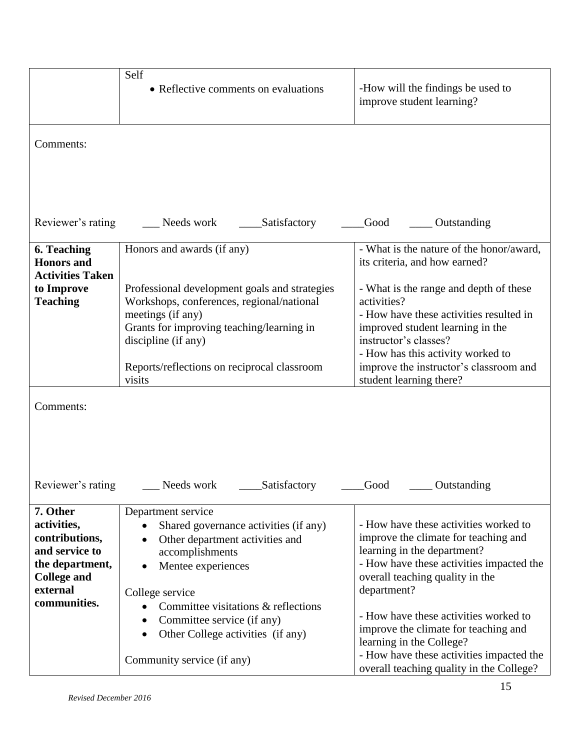|                                                                                                                                  | Self<br>• Reflective comments on evaluations                                                                                                                                                                                                 | -How will the findings be used to<br>improve student learning?                                                                                                                                                                                                          |
|----------------------------------------------------------------------------------------------------------------------------------|----------------------------------------------------------------------------------------------------------------------------------------------------------------------------------------------------------------------------------------------|-------------------------------------------------------------------------------------------------------------------------------------------------------------------------------------------------------------------------------------------------------------------------|
| Comments:                                                                                                                        |                                                                                                                                                                                                                                              |                                                                                                                                                                                                                                                                         |
| Reviewer's rating                                                                                                                | Needs work<br>Satisfactory                                                                                                                                                                                                                   | Good<br>Outstanding                                                                                                                                                                                                                                                     |
| <b>6. Teaching</b><br><b>Honors</b> and<br><b>Activities Taken</b>                                                               | Honors and awards (if any)                                                                                                                                                                                                                   | - What is the nature of the honor/award,<br>its criteria, and how earned?                                                                                                                                                                                               |
| to Improve<br><b>Teaching</b>                                                                                                    | Professional development goals and strategies<br>Workshops, conferences, regional/national<br>meetings (if any)<br>Grants for improving teaching/learning in<br>discipline (if any)<br>Reports/reflections on reciprocal classroom<br>visits | - What is the range and depth of these<br>activities?<br>- How have these activities resulted in<br>improved student learning in the<br>instructor's classes?<br>- How has this activity worked to<br>improve the instructor's classroom and<br>student learning there? |
| Comments:                                                                                                                        |                                                                                                                                                                                                                                              |                                                                                                                                                                                                                                                                         |
| Reviewer's rating                                                                                                                | Satisfactory<br>Needs work                                                                                                                                                                                                                   | Good<br>Outstanding                                                                                                                                                                                                                                                     |
| 7. Other<br>activities,<br>contributions,<br>and service to<br>the department,<br><b>College and</b><br>external<br>communities. | Department service<br>Shared governance activities (if any)<br>$\bullet$<br>Other department activities and<br>$\bullet$<br>accomplishments<br>Mentee experiences<br>$\bullet$<br>College service                                            | - How have these activities worked to<br>improve the climate for teaching and<br>learning in the department?<br>- How have these activities impacted the<br>overall teaching quality in the<br>department?                                                              |
|                                                                                                                                  | Committee visitations & reflections<br>$\bullet$<br>Committee service (if any)<br>٠<br>Other College activities (if any)<br>Community service (if any)                                                                                       | - How have these activities worked to<br>improve the climate for teaching and<br>learning in the College?<br>- How have these activities impacted the<br>overall teaching quality in the College?                                                                       |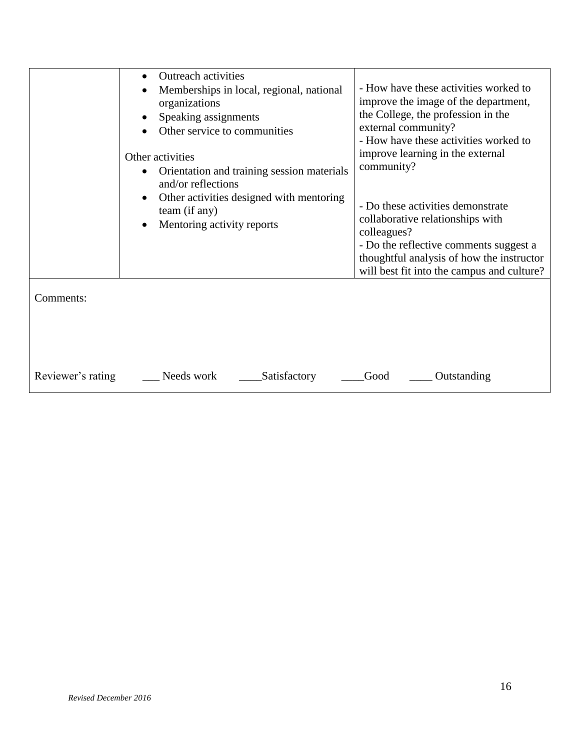|                                | <b>Outreach activities</b><br>Memberships in local, regional, national<br>organizations<br>Speaking assignments<br>Other service to communities<br>Other activities<br>Orientation and training session materials<br>$\bullet$<br>and/or reflections<br>Other activities designed with mentoring<br>$\bullet$<br>team (if any)<br>Mentoring activity reports<br>$\bullet$ | - How have these activities worked to<br>improve the image of the department,<br>the College, the profession in the<br>external community?<br>- How have these activities worked to<br>improve learning in the external<br>community?<br>- Do these activities demonstrate<br>collaborative relationships with<br>colleagues?<br>- Do the reflective comments suggest a<br>thoughtful analysis of how the instructor |
|--------------------------------|---------------------------------------------------------------------------------------------------------------------------------------------------------------------------------------------------------------------------------------------------------------------------------------------------------------------------------------------------------------------------|----------------------------------------------------------------------------------------------------------------------------------------------------------------------------------------------------------------------------------------------------------------------------------------------------------------------------------------------------------------------------------------------------------------------|
| Comments:<br>Reviewer's rating | Needs work<br>Satisfactory                                                                                                                                                                                                                                                                                                                                                | will best fit into the campus and culture?<br>Good<br>Outstanding                                                                                                                                                                                                                                                                                                                                                    |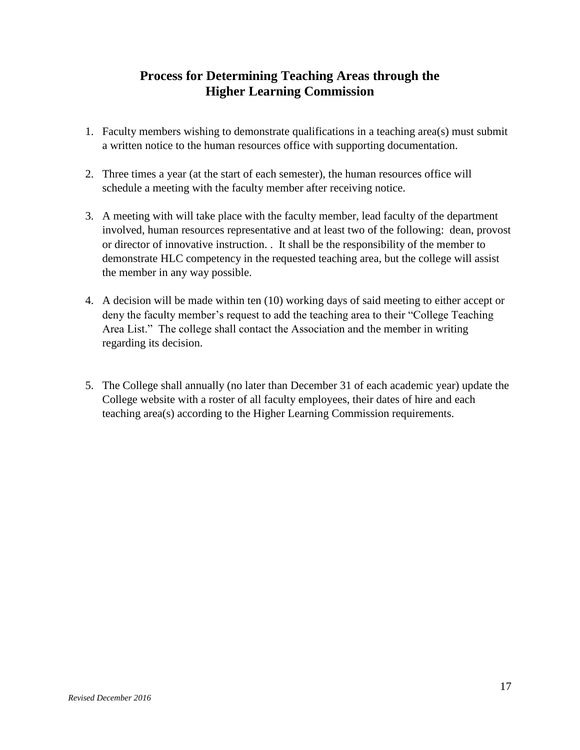## **Process for Determining Teaching Areas through the Higher Learning Commission**

- 1. Faculty members wishing to demonstrate qualifications in a teaching area(s) must submit a written notice to the human resources office with supporting documentation.
- 2. Three times a year (at the start of each semester), the human resources office will schedule a meeting with the faculty member after receiving notice.
- 3. A meeting with will take place with the faculty member, lead faculty of the department involved, human resources representative and at least two of the following: dean, provost or director of innovative instruction. . It shall be the responsibility of the member to demonstrate HLC competency in the requested teaching area, but the college will assist the member in any way possible.
- 4. A decision will be made within ten (10) working days of said meeting to either accept or deny the faculty member's request to add the teaching area to their "College Teaching Area List." The college shall contact the Association and the member in writing regarding its decision.
- 5. The College shall annually (no later than December 31 of each academic year) update the College website with a roster of all faculty employees, their dates of hire and each teaching area(s) according to the Higher Learning Commission requirements.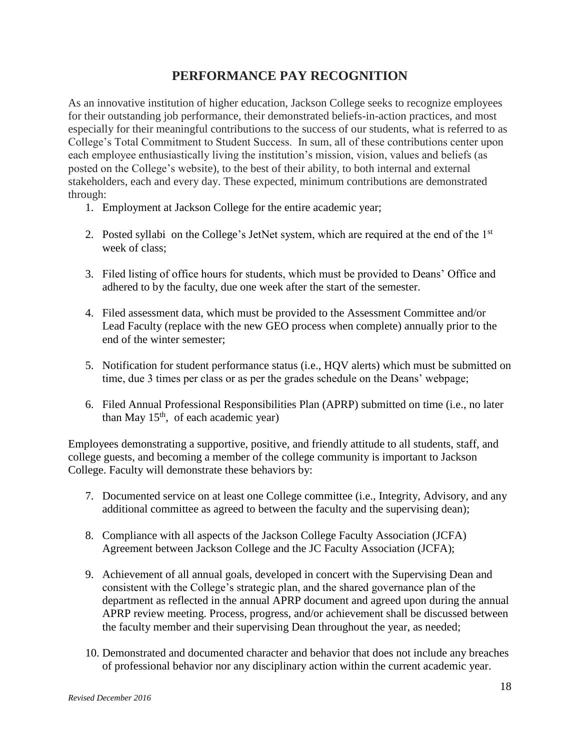## **PERFORMANCE PAY RECOGNITION**

As an innovative institution of higher education, Jackson College seeks to recognize employees for their outstanding job performance, their demonstrated beliefs-in-action practices, and most especially for their meaningful contributions to the success of our students, what is referred to as College's Total Commitment to Student Success. In sum, all of these contributions center upon each employee enthusiastically living the institution's mission, vision, values and beliefs (as posted on the College's website), to the best of their ability, to both internal and external stakeholders, each and every day. These expected, minimum contributions are demonstrated through:

- 1. Employment at Jackson College for the entire academic year;
- 2. Posted syllabi on the College's JetNet system, which are required at the end of the  $1<sup>st</sup>$ week of class;
- 3. Filed listing of office hours for students, which must be provided to Deans' Office and adhered to by the faculty, due one week after the start of the semester.
- 4. Filed assessment data, which must be provided to the Assessment Committee and/or Lead Faculty (replace with the new GEO process when complete) annually prior to the end of the winter semester;
- 5. Notification for student performance status (i.e., HQV alerts) which must be submitted on time, due 3 times per class or as per the grades schedule on the Deans' webpage;
- 6. Filed Annual Professional Responsibilities Plan (APRP) submitted on time (i.e., no later than May  $15<sup>th</sup>$ , of each academic year)

Employees demonstrating a supportive, positive, and friendly attitude to all students, staff, and college guests, and becoming a member of the college community is important to Jackson College. Faculty will demonstrate these behaviors by:

- 7. Documented service on at least one College committee (i.e., Integrity, Advisory, and any additional committee as agreed to between the faculty and the supervising dean);
- 8. Compliance with all aspects of the Jackson College Faculty Association (JCFA) Agreement between Jackson College and the JC Faculty Association (JCFA);
- 9. Achievement of all annual goals, developed in concert with the Supervising Dean and consistent with the College's strategic plan, and the shared governance plan of the department as reflected in the annual APRP document and agreed upon during the annual APRP review meeting. Process, progress, and/or achievement shall be discussed between the faculty member and their supervising Dean throughout the year, as needed;
- 10. Demonstrated and documented character and behavior that does not include any breaches of professional behavior nor any disciplinary action within the current academic year.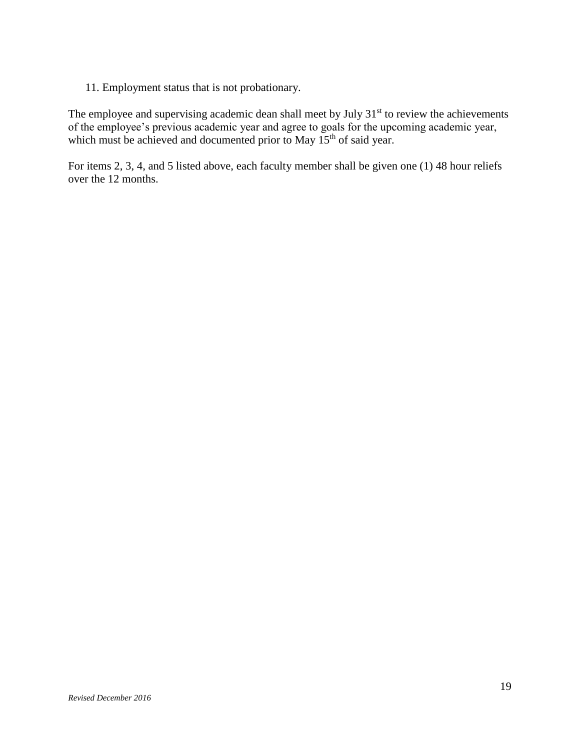11. Employment status that is not probationary.

The employee and supervising academic dean shall meet by July 31<sup>st</sup> to review the achievements of the employee's previous academic year and agree to goals for the upcoming academic year, which must be achieved and documented prior to May 15<sup>th</sup> of said year.

For items 2, 3, 4, and 5 listed above, each faculty member shall be given one (1) 48 hour reliefs over the 12 months.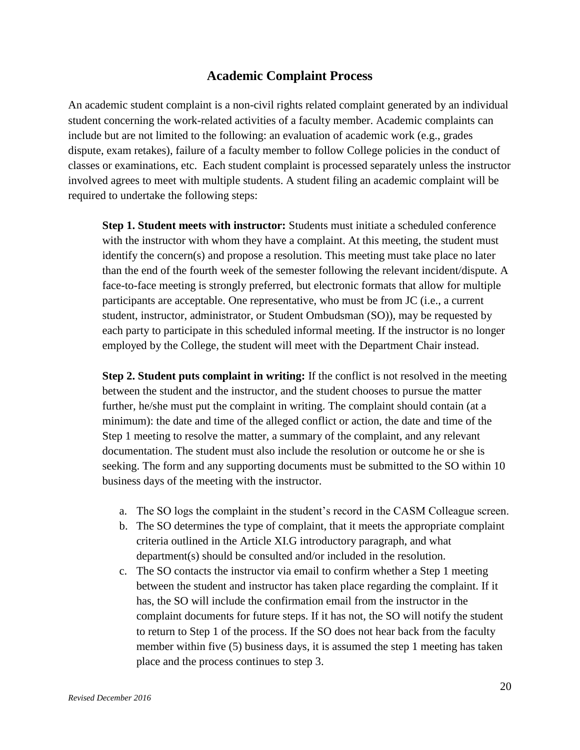## **Academic Complaint Process**

An academic student complaint is a non-civil rights related complaint generated by an individual student concerning the work-related activities of a faculty member. Academic complaints can include but are not limited to the following: an evaluation of academic work (e.g., grades dispute, exam retakes), failure of a faculty member to follow College policies in the conduct of classes or examinations, etc. Each student complaint is processed separately unless the instructor involved agrees to meet with multiple students. A student filing an academic complaint will be required to undertake the following steps:

**Step 1. Student meets with instructor:** Students must initiate a scheduled conference with the instructor with whom they have a complaint. At this meeting, the student must identify the concern(s) and propose a resolution. This meeting must take place no later than the end of the fourth week of the semester following the relevant incident/dispute. A face-to-face meeting is strongly preferred, but electronic formats that allow for multiple participants are acceptable. One representative, who must be from JC (i.e., a current student, instructor, administrator, or Student Ombudsman (SO)), may be requested by each party to participate in this scheduled informal meeting. If the instructor is no longer employed by the College, the student will meet with the Department Chair instead.

**Step 2. Student puts complaint in writing:** If the conflict is not resolved in the meeting between the student and the instructor, and the student chooses to pursue the matter further, he/she must put the complaint in writing. The complaint should contain (at a minimum): the date and time of the alleged conflict or action, the date and time of the Step 1 meeting to resolve the matter, a summary of the complaint, and any relevant documentation. The student must also include the resolution or outcome he or she is seeking. The form and any supporting documents must be submitted to the SO within 10 business days of the meeting with the instructor.

- a. The SO logs the complaint in the student's record in the CASM Colleague screen.
- b. The SO determines the type of complaint, that it meets the appropriate complaint criteria outlined in the Article XI.G introductory paragraph, and what department(s) should be consulted and/or included in the resolution.
- c. The SO contacts the instructor via email to confirm whether a Step 1 meeting between the student and instructor has taken place regarding the complaint. If it has, the SO will include the confirmation email from the instructor in the complaint documents for future steps. If it has not, the SO will notify the student to return to Step 1 of the process. If the SO does not hear back from the faculty member within five (5) business days, it is assumed the step 1 meeting has taken place and the process continues to step 3.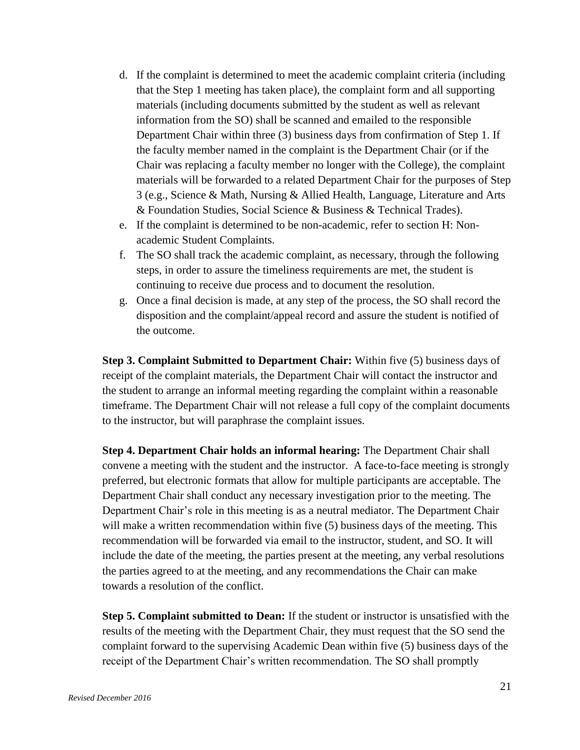- d. If the complaint is determined to meet the academic complaint criteria (including that the Step 1 meeting has taken place), the complaint form and all supporting materials (including documents submitted by the student as well as relevant information from the SO) shall be scanned and emailed to the responsible Department Chair within three (3) business days from confirmation of Step 1. If the faculty member named in the complaint is the Department Chair (or if the Chair was replacing a faculty member no longer with the College), the complaint materials will be forwarded to a related Department Chair for the purposes of Step 3 (e.g., Science & Math, Nursing & Allied Health, Language, Literature and Arts & Foundation Studies, Social Science & Business & Technical Trades).
- e. If the complaint is determined to be non-academic, refer to section H: Nonacademic Student Complaints.
- f. The SO shall track the academic complaint, as necessary, through the following steps, in order to assure the timeliness requirements are met, the student is continuing to receive due process and to document the resolution.
- g. Once a final decision is made, at any step of the process, the SO shall record the disposition and the complaint/appeal record and assure the student is notified of the outcome.

**Step 3. Complaint Submitted to Department Chair:** Within five (5) business days of receipt of the complaint materials, the Department Chair will contact the instructor and the student to arrange an informal meeting regarding the complaint within a reasonable timeframe. The Department Chair will not release a full copy of the complaint documents to the instructor, but will paraphrase the complaint issues.

**Step 4. Department Chair holds an informal hearing:** The Department Chair shall convene a meeting with the student and the instructor. A face-to-face meeting is strongly preferred, but electronic formats that allow for multiple participants are acceptable. The Department Chair shall conduct any necessary investigation prior to the meeting. The Department Chair's role in this meeting is as a neutral mediator. The Department Chair will make a written recommendation within five (5) business days of the meeting. This recommendation will be forwarded via email to the instructor, student, and SO. It will include the date of the meeting, the parties present at the meeting, any verbal resolutions the parties agreed to at the meeting, and any recommendations the Chair can make towards a resolution of the conflict.

**Step 5. Complaint submitted to Dean:** If the student or instructor is unsatisfied with the results of the meeting with the Department Chair, they must request that the SO send the complaint forward to the supervising Academic Dean within five (5) business days of the receipt of the Department Chair's written recommendation. The SO shall promptly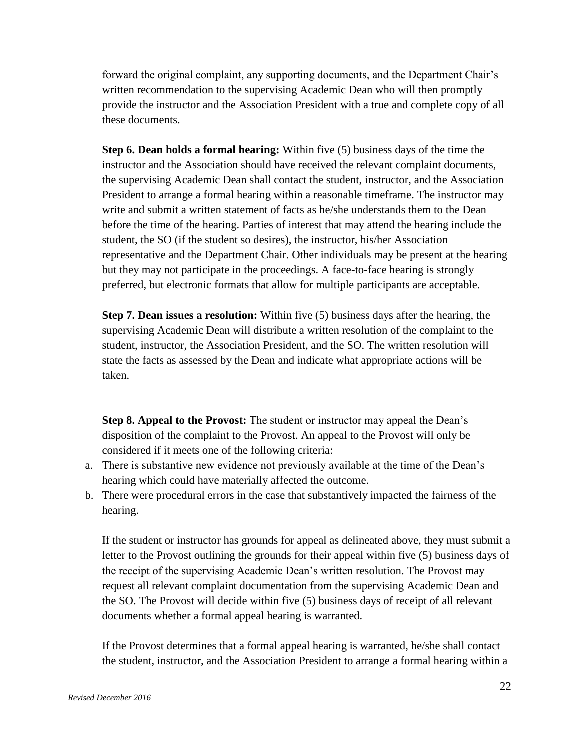forward the original complaint, any supporting documents, and the Department Chair's written recommendation to the supervising Academic Dean who will then promptly provide the instructor and the Association President with a true and complete copy of all these documents.

**Step 6. Dean holds a formal hearing:** Within five (5) business days of the time the instructor and the Association should have received the relevant complaint documents, the supervising Academic Dean shall contact the student, instructor, and the Association President to arrange a formal hearing within a reasonable timeframe. The instructor may write and submit a written statement of facts as he/she understands them to the Dean before the time of the hearing. Parties of interest that may attend the hearing include the student, the SO (if the student so desires), the instructor, his/her Association representative and the Department Chair. Other individuals may be present at the hearing but they may not participate in the proceedings. A face-to-face hearing is strongly preferred, but electronic formats that allow for multiple participants are acceptable.

**Step 7. Dean issues a resolution:** Within five (5) business days after the hearing, the supervising Academic Dean will distribute a written resolution of the complaint to the student, instructor, the Association President, and the SO. The written resolution will state the facts as assessed by the Dean and indicate what appropriate actions will be taken.

**Step 8. Appeal to the Provost:** The student or instructor may appeal the Dean's disposition of the complaint to the Provost. An appeal to the Provost will only be considered if it meets one of the following criteria:

- a. There is substantive new evidence not previously available at the time of the Dean's hearing which could have materially affected the outcome.
- b. There were procedural errors in the case that substantively impacted the fairness of the hearing.

If the student or instructor has grounds for appeal as delineated above, they must submit a letter to the Provost outlining the grounds for their appeal within five (5) business days of the receipt of the supervising Academic Dean's written resolution. The Provost may request all relevant complaint documentation from the supervising Academic Dean and the SO. The Provost will decide within five (5) business days of receipt of all relevant documents whether a formal appeal hearing is warranted.

If the Provost determines that a formal appeal hearing is warranted, he/she shall contact the student, instructor, and the Association President to arrange a formal hearing within a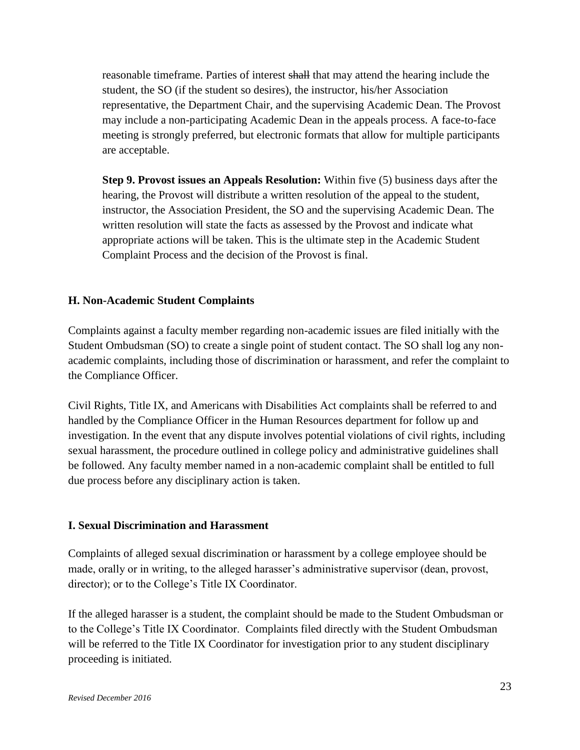reasonable timeframe. Parties of interest shall that may attend the hearing include the student, the SO (if the student so desires), the instructor, his/her Association representative, the Department Chair, and the supervising Academic Dean. The Provost may include a non-participating Academic Dean in the appeals process. A face-to-face meeting is strongly preferred, but electronic formats that allow for multiple participants are acceptable.

**Step 9. Provost issues an Appeals Resolution:** Within five (5) business days after the hearing, the Provost will distribute a written resolution of the appeal to the student, instructor, the Association President, the SO and the supervising Academic Dean. The written resolution will state the facts as assessed by the Provost and indicate what appropriate actions will be taken. This is the ultimate step in the Academic Student Complaint Process and the decision of the Provost is final.

#### **H. Non-Academic Student Complaints**

Complaints against a faculty member regarding non-academic issues are filed initially with the Student Ombudsman (SO) to create a single point of student contact. The SO shall log any nonacademic complaints, including those of discrimination or harassment, and refer the complaint to the Compliance Officer.

Civil Rights, Title IX, and Americans with Disabilities Act complaints shall be referred to and handled by the Compliance Officer in the Human Resources department for follow up and investigation. In the event that any dispute involves potential violations of civil rights, including sexual harassment, the procedure outlined in college policy and administrative guidelines shall be followed. Any faculty member named in a non-academic complaint shall be entitled to full due process before any disciplinary action is taken.

#### **I. Sexual Discrimination and Harassment**

Complaints of alleged sexual discrimination or harassment by a college employee should be made, orally or in writing, to the alleged harasser's administrative supervisor (dean, provost, director); or to the College's Title IX Coordinator.

If the alleged harasser is a student, the complaint should be made to the Student Ombudsman or to the College's Title IX Coordinator. Complaints filed directly with the Student Ombudsman will be referred to the Title IX Coordinator for investigation prior to any student disciplinary proceeding is initiated.